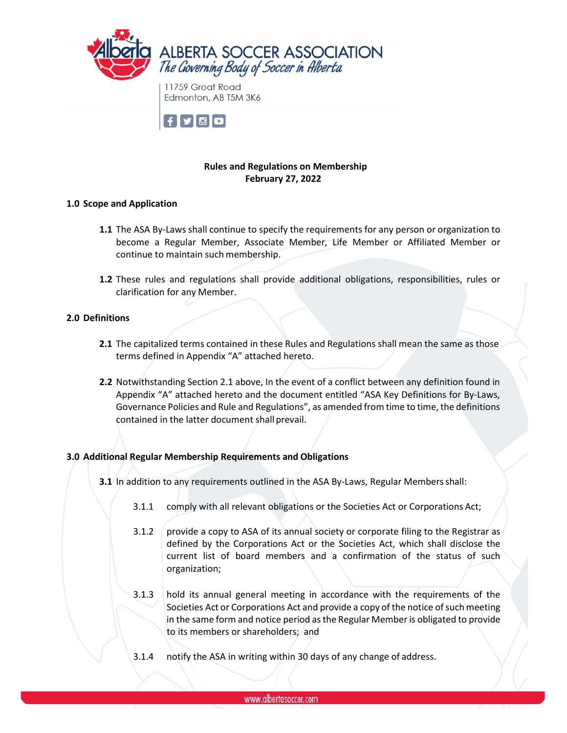



## **Rules and Regulations on Membership February 27, 2022**

#### **1.0 Scope and Application**

- **1.1** The ASA By-Laws shall continue to specify the requirements for any person or organization to become a Regular Member, Associate Member, Life Member or Affiliated Member or continue to maintain such membership.
- **1.2** These rules and regulations shall provide additional obligations, responsibilities, rules or clarification for any Member.

#### **2.0 Definitions**

- **2.1** The capitalized terms contained in these Rules and Regulations shall mean the same as those terms defined in Appendix "A" attached hereto.
- **2.2** Notwithstanding Section 2.1 above, In the event of a conflict between any definition found in Appendix "A" attached hereto and the document entitled "ASA Key Definitions for By-Laws, Governance Policies and Rule and Regulations", as amended from time to time, the definitions contained in the latter document shall prevail.

## **3.0 Additional Regular Membership Requirements and Obligations**

- **3.1** In addition to any requirements outlined in the ASA By-Laws, Regular Membersshall:
	- 3.1.1 comply with all relevant obligations or the Societies Act or Corporations Act;
	- 3.1.2 provide a copy to ASA of its annual society or corporate filing to the Registrar as defined by the Corporations Act or the Societies Act, which shall disclose the current list of board members and a confirmation of the status of such organization;
	- 3.1.3 hold its annual general meeting in accordance with the requirements of the Societies Act or Corporations Act and provide a copy of the notice of such meeting in the same form and notice period asthe Regular Member is obligated to provide to its members or shareholders; and
	- 3.1.4 notify the ASA in writing within 30 days of any change of address.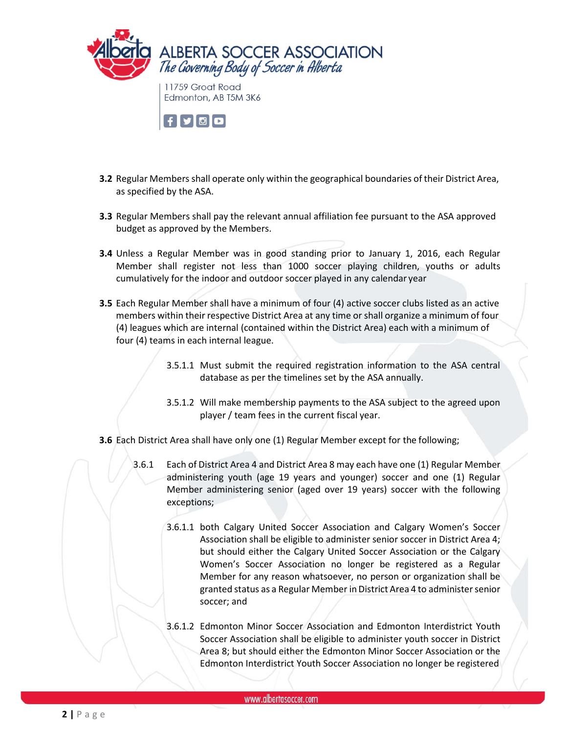

 $\vert f \vert$ y $\vert$ 0 $\vert$ 0 $\vert$ 

- **3.2** Regular Members shall operate only within the geographical boundaries of their District Area, as specified by the ASA.
- **3.3** Regular Members shall pay the relevant annual affiliation fee pursuant to the ASA approved budget as approved by the Members.
- **3.4** Unless a Regular Member was in good standing prior to January 1, 2016, each Regular Member shall register not less than 1000 soccer playing children, youths or adults cumulatively for the indoor and outdoor soccer played in any calendar year
- **3.5** Each Regular Member shall have a minimum of four (4) active soccer clubs listed as an active members within their respective District Area at any time orshall organize a minimum of four (4) leagues which are internal (contained within the District Area) each with a minimum of four (4) teams in each internal league.
	- 3.5.1.1 Must submit the required registration information to the ASA central database as per the timelines set by the ASA annually.
	- 3.5.1.2 Will make membership payments to the ASA subject to the agreed upon player / team fees in the current fiscal year.
- **3.6** Each District Area shall have only one (1) Regular Member except for the following;
	- 3.6.1 Each of District Area 4 and District Area 8 may each have one (1) Regular Member administering youth (age 19 years and younger) soccer and one (1) Regular Member administering senior (aged over 19 years) soccer with the following exceptions;
		- 3.6.1.1 both Calgary United Soccer Association and Calgary Women's Soccer Association shall be eligible to administer senior soccer in District Area 4; but should either the Calgary United Soccer Association or the Calgary Women's Soccer Association no longer be registered as a Regular Member for any reason whatsoever, no person or organization shall be granted status as a Regular Member inDistrict Area 4 to administersenior soccer; and
		- 3.6.1.2 Edmonton Minor Soccer Association and Edmonton Interdistrict Youth Soccer Association shall be eligible to administer youth soccer in District Area 8; but should either the Edmonton Minor Soccer Association or the Edmonton Interdistrict Youth Soccer Association no longer be registered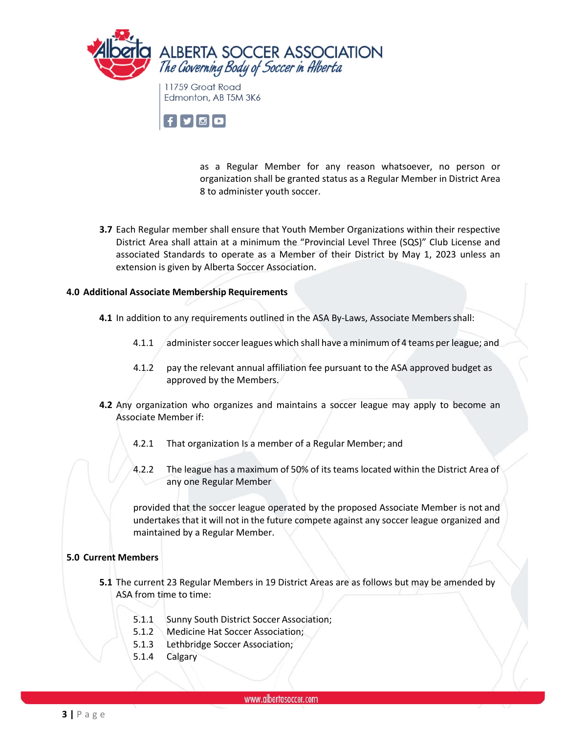

Edmonton, AB T5M 3K6



as a Regular Member for any reason whatsoever, no person or organization shall be granted status as a Regular Member in District Area 8 to administer youth soccer.

**3.7** Each Regular member shall ensure that Youth Member Organizations within their respective District Area shall attain at a minimum the "Provincial Level Three (SQS)" Club License and associated Standards to operate as a Member of their District by May 1, 2023 unless an extension is given by Alberta Soccer Association.

## **4.0 Additional Associate Membership Requirements**

- **4.1** In addition to any requirements outlined in the ASA By-Laws, Associate Membersshall:
	- 4.1.1 administersoccerleagues which shall have a minimum of 4 teams per league; and
	- 4.1.2 pay the relevant annual affiliation fee pursuant to the ASA approved budget as approved by the Members.
- **4.2** Any organization who organizes and maintains a soccer league may apply to become an Associate Member if:
	- 4.2.1 That organization Is a member of a Regular Member; and
	- 4.2.2 The league has a maximum of 50% of its teams located within the District Area of any one Regular Member

provided that the soccer league operated by the proposed Associate Member is not and undertakesthat it will not in the future compete against any soccer league organized and maintained by a Regular Member.

## **5.0 Current Members**

- **5.1** The current 23 Regular Members in 19 District Areas are as follows but may be amended by ASA from time to time:
	- 5.1.1 Sunny South District Soccer Association;
	- 5.1.2 Medicine Hat Soccer Association;
	- 5.1.3 Lethbridge Soccer Association;
	- 5.1.4 Calgary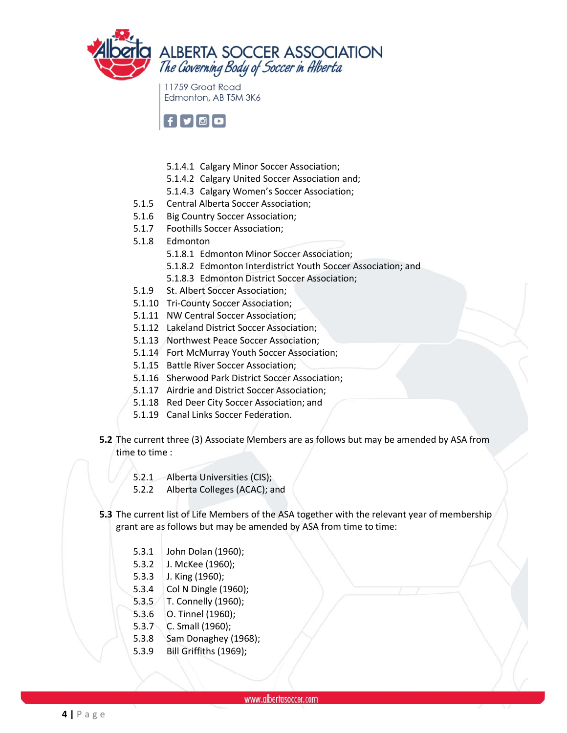

11759 Groat Road Edmonton, AB T5M 3K6



- 5.1.4.1 Calgary Minor Soccer Association;
- 5.1.4.2 Calgary United Soccer Association and;
- 5.1.4.3 Calgary Women's Soccer Association;
- 5.1.5 Central Alberta Soccer Association;
- 5.1.6 Big Country Soccer Association;
- 5.1.7 Foothills Soccer Association;
- 5.1.8 Edmonton
	- 5.1.8.1 Edmonton Minor Soccer Association;
	- 5.1.8.2 Edmonton Interdistrict Youth Soccer Association; and
	- 5.1.8.3 Edmonton District Soccer Association;
- 5.1.9 St. Albert Soccer Association;
- 5.1.10 Tri-County Soccer Association;
- 5.1.11 NW Central Soccer Association;
- 5.1.12 Lakeland District Soccer Association;
- 5.1.13 Northwest Peace Soccer Association;
- 5.1.14 Fort McMurray Youth Soccer Association;
- 5.1.15 Battle River Soccer Association;
- 5.1.16 Sherwood Park District Soccer Association;
- 5.1.17 Airdrie and District Soccer Association;
- 5.1.18 Red Deer City Soccer Association; and
- 5.1.19 Canal Links Soccer Federation.
- **5.2** The current three (3) Associate Members are as follows but may be amended by ASA from time to time :
	- 5.2.1 Alberta Universities (CIS);
	- 5.2.2 Alberta Colleges (ACAC); and
- **5.3** The current list of Life Members of the ASA together with the relevant year of membership grant are as follows but may be amended by ASA from time to time:
	- 5.3.1 John Dolan (1960);
	- 5.3.2 J. McKee (1960);
	- 5.3.3 J. King (1960);
	- 5.3.4 Col N Dingle (1960);
	- 5.3.5 T. Connelly (1960);
	- 5.3.6 O. Tinnel (1960);
	- 5.3.7 C. Small (1960);
	- 5.3.8 Sam Donaghey (1968);
	- 5.3.9 Bill Griffiths (1969);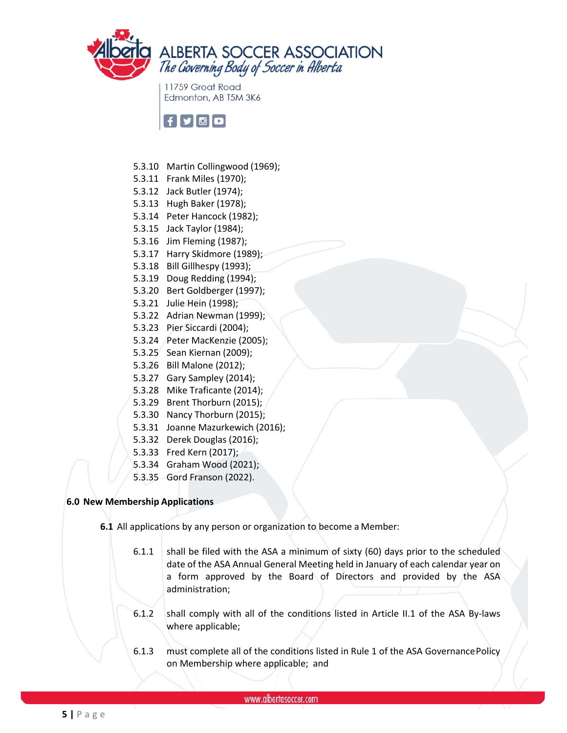

11759 Groat Road Edmonton, AB T5M 3K6



- 5.3.10 Martin Collingwood (1969);
- 5.3.11 Frank Miles (1970);
- 5.3.12 Jack Butler (1974);
- 5.3.13 Hugh Baker (1978);
- 5.3.14 Peter Hancock (1982);
- 5.3.15 Jack Taylor (1984);
- 5.3.16 Jim Fleming (1987);
- 5.3.17 Harry Skidmore (1989);
- 5.3.18 Bill Gillhespy (1993);
- 5.3.19 Doug Redding (1994);
- 5.3.20 Bert Goldberger (1997);
- 5.3.21 Julie Hein (1998);
- 5.3.22 Adrian Newman (1999);
- 5.3.23 Pier Siccardi (2004);
- 5.3.24 Peter MacKenzie (2005);
- 5.3.25 Sean Kiernan (2009);
- 5.3.26 Bill Malone (2012);
- 5.3.27 Gary Sampley (2014);
- 5.3.28 Mike Traficante (2014);
- 5.3.29 Brent Thorburn (2015);
- 5.3.30 Nancy Thorburn (2015);
- 5.3.31 Joanne Mazurkewich (2016);
- 5.3.32 Derek Douglas (2016);
- 5.3.33 Fred Kern (2017);
- 5.3.34 Graham Wood (2021);
- 5.3.35 Gord Franson (2022).

## **6.0 New Membership Applications**

- **6.1** All applications by any person or organization to become a Member:
	- 6.1.1 shall be filed with the ASA a minimum of sixty (60) days prior to the scheduled date of the ASA Annual General Meeting held in January of each calendar year on a form approved by the Board of Directors and provided by the ASA administration;
	- 6.1.2 shall comply with all of the conditions listed in Article II.1 of the ASA By-laws where applicable;
	- 6.1.3 must complete all of the conditions listed in Rule 1 of the ASA GovernancePolicy on Membership where applicable; and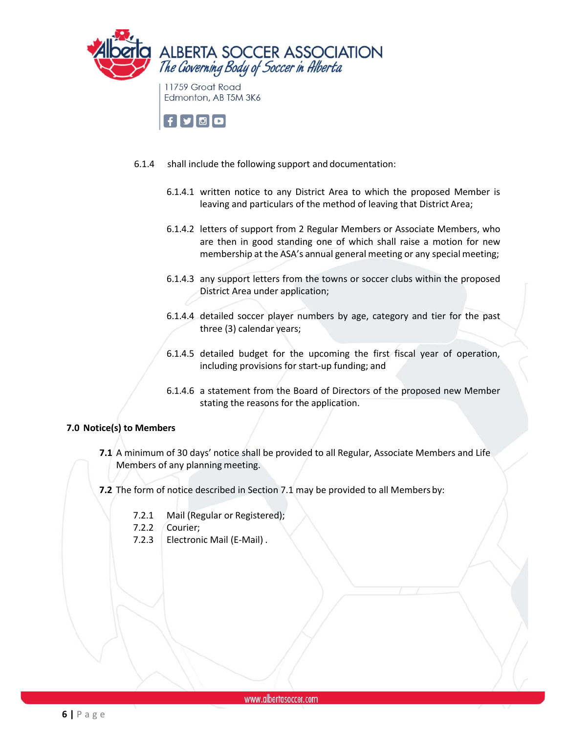

 $\mathbf{f}[\mathbf{y}[\mathbf{0}]\mathbf{O}]$ 

- 6.1.4 shall include the following support and documentation:
	- 6.1.4.1 written notice to any District Area to which the proposed Member is leaving and particulars of the method of leaving that District Area;
	- 6.1.4.2 letters of support from 2 Regular Members or Associate Members, who are then in good standing one of which shall raise a motion for new membership at the ASA's annual general meeting or any special meeting;
	- 6.1.4.3 any support letters from the towns or soccer clubs within the proposed District Area under application;
	- 6.1.4.4 detailed soccer player numbers by age, category and tier for the past three (3) calendar years;
	- 6.1.4.5 detailed budget for the upcoming the first fiscal year of operation, including provisions for start-up funding; and
	- 6.1.4.6 a statement from the Board of Directors of the proposed new Member stating the reasons for the application.

## **7.0 Notice(s) to Members**

- **7.1** A minimum of 30 days' notice shall be provided to all Regular, Associate Members and Life Members of any planning meeting.
- **7.2** The form of notice described in Section 7.1 may be provided to all Members by:
	- 7.2.1 Mail (Regular or Registered);
	- 7.2.2 Courier;
	- 7.2.3 Electronic Mail (E-Mail) .